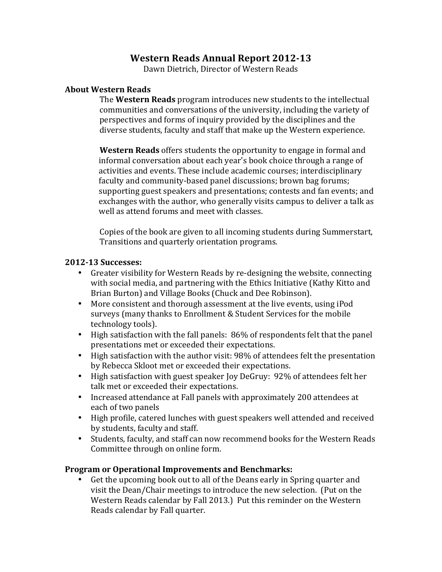# **Western Reads Annual Report 2012-13**

Dawn Dietrich, Director of Western Reads

#### **About Western Reads**

**The Western Reads** program introduces new students to the intellectual communities and conversations of the university, including the variety of perspectives and forms of inquiry provided by the disciplines and the diverse students, faculty and staff that make up the Western experience.

 **Western Reads** offers students the opportunity to engage in formal and informal conversation about each year's book choice through a range of activities and events. These include academic courses; interdisciplinary faculty and community-based panel discussions; brown bag forums; exchanges with the author, who generally visits campus to deliver a talk as well as attend forums and meet with classes. supporting guest speakers and presentations; contests and fan events; and

Copies of the book are given to all incoming students during Summerstart, Transitions and quarterly orientation programs.

## **2012-13 Successes:**

- with social media, and partnering with the Ethics Initiative (Kathy Kitto and • Greater visibility for Western Reads by re-designing the website, connecting Brian Burton) and Village Books (Chuck and Dee Robinson).
- More consistent and thorough assessment at the live events, using iPod surveys (many thanks to Enrollment & Student Services for the mobile technology tools).
- High satisfaction with the fall panels: 86% of respondents felt that the panel presentations met or exceeded their expectations.
- by Rebecca Skloot met or exceeded their expectations. • High satisfaction with the author visit: 98% of attendees felt the presentation
- High satisfaction with guest speaker Joy DeGruy: 92% of attendees felt her talk met or exceeded their expectations.
- Increased attendance at Fall panels with approximately 200 attendees at each of two panels
- High profile, catered lunches with guest speakers well attended and received by students, faculty and staff.
- Students, faculty, and staff can now recommend books for the Western Reads Committee through on online form.

#### **Program or Operational Improvements and Benchmarks:**

visit the Dean/Chair meetings to introduce the new selection. (Put on the Western Reads calendar by Fall 2013.) Put this reminder on the Western Get the upcoming book out to all of the Deans early in Spring quarter and Reads calendar by Fall quarter.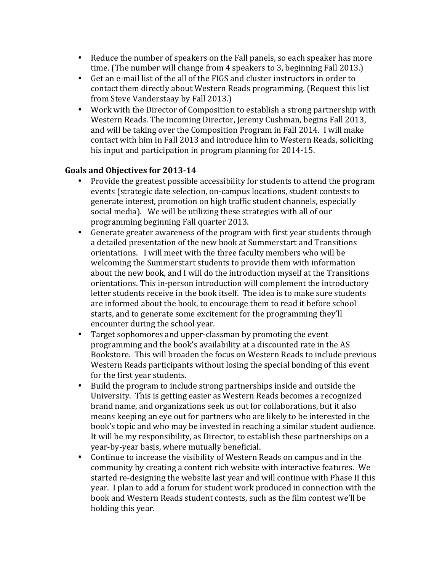- Reduce the number of speakers on the Fall panels, so each speaker has more time. (The number will change from 4 speakers to 3, beginning Fall 2013.)
- Get an e-mail list of the all of the FIGS and cluster instructors in order to contact them directly about Western Reads programming. (Request this list from Steve Vanderstaay by Fall 2013.)
- Work with the Director of Composition to establish a strong partnership with Western Reads. The incoming Director, Jeremy Cushman, begins Fall 2013, and will be taking over the Composition Program in Fall 2014. I will make contact with him in Fall 2013 and introduce him to Western Reads, soliciting his input and participation in program planning for 2014-15.

## **Goals and Objectives for 2013-14**

- Provide the greatest possible accessibility for students to attend the program events (strategic date selection, on-campus locations, student contests to generate interest, promotion on high traffic student channels, especially social media). We will be utilizing these strategies with all of our programming beginning Fall quarter 2013.
- Generate greater awareness of the program with first year students through a detailed presentation of the new book at Summerstart and Transitions orientations. I will meet with the three faculty members who will be welcoming the Summerstart students to provide them with information about the new book, and I will do the introduction myself at the Transitions orientations. This in-person introduction will complement the introductory letter students receive in the book itself. The idea is to make sure students are informed about the book, to encourage them to read it before school starts, and to generate some excitement for the programming they'll encounter during the school year.
- Target sophomores and upper-classman by promoting the event programming and the book's availability at a discounted rate in the AS Bookstore. This will broaden the focus on Western Reads to include previous Western Reads participants without losing the special bonding of this event for the first year students.
- Build the program to include strong partnerships inside and outside the University. This is getting easier as Western Reads becomes a recognized brand name, and organizations seek us out for collaborations, but it also means keeping an eye out for partners who are likely to be interested in the book's topic and who may be invested in reaching a similar student audience. It will be my responsibility, as Director, to establish these partnerships on a year-by-year basis, where mutually beneficial.
- Continue to increase the visibility of Western Reads on campus and in the community by creating a content rich website with interactive features. We year. I plan to add a forum for student work produced in connection with the book and Western Reads student contests, such as the film contest we'll be holding this year. started re-designing the website last year and will continue with Phase II this